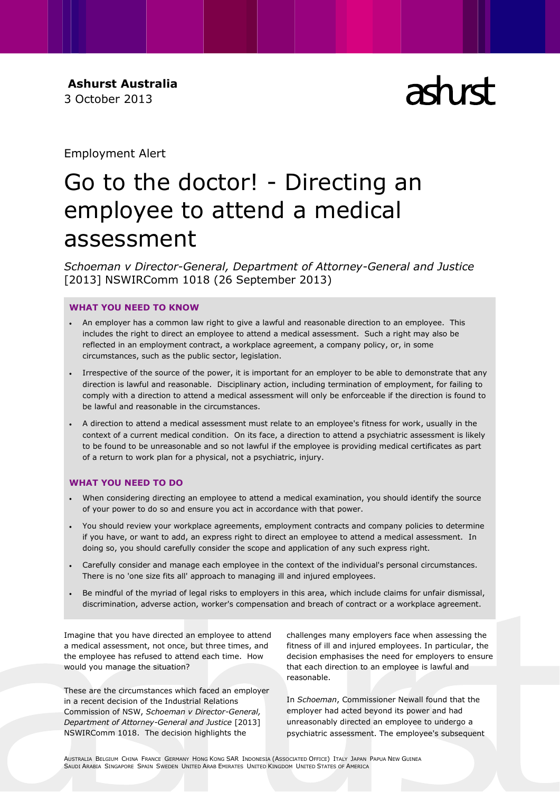**Ashurst Australia** 3 October 2013

# ach rch

Employment Alert

# Go to the doctor! - Directing an employee to attend a medical assessment

*Schoeman v Director-General, Department of Attorney-General and Justice* [2013] NSWIRComm 1018 (26 September 2013)

# **WHAT YOU NEED TO KNOW**

- An employer has a common law right to give a lawful and reasonable direction to an employee. This includes the right to direct an employee to attend a medical assessment. Such a right may also be reflected in an employment contract, a workplace agreement, a company policy, or, in some circumstances, such as the public sector, legislation.
- Irrespective of the source of the power, it is important for an employer to be able to demonstrate that any direction is lawful and reasonable. Disciplinary action, including termination of employment, for failing to comply with a direction to attend a medical assessment will only be enforceable if the direction is found to be lawful and reasonable in the circumstances.
- A direction to attend a medical assessment must relate to an employee's fitness for work, usually in the context of a current medical condition. On its face, a direction to attend a psychiatric assessment is likely to be found to be unreasonable and so not lawful if the employee is providing medical certificates as part of a return to work plan for a physical, not a psychiatric, injury.

# **WHAT YOU NEED TO DO**

- When considering directing an employee to attend a medical examination, you should identify the source of your power to do so and ensure you act in accordance with that power.
- You should review your workplace agreements, employment contracts and company policies to determine if you have, or want to add, an express right to direct an employee to attend a medical assessment. In doing so, you should carefully consider the scope and application of any such express right.
- Carefully consider and manage each employee in the context of the individual's personal circumstances. There is no 'one size fits all' approach to managing ill and injured employees.
- Be mindful of the myriad of legal risks to employers in this area, which include claims for unfair dismissal, discrimination, adverse action, worker's compensation and breach of contract or a workplace agreement.

Imagine that you have directed an employee to attend a medical assessment, not once, but three times, and the employee has refused to attend each time. How would you manage the situation?

These are the circumstances which faced an employer in a recent decision of the Industrial Relations Commission of NSW, *Schoeman v Director-General, Department of Attorney-General and Justice* [2013] NSWIRComm 1018. The decision highlights the

challenges many employers face when assessing the fitness of ill and injured employees. In particular, the decision emphasises the need for employers to ensure that each direction to an employee is lawful and reasonable.

In *Schoeman*, Commissioner Newall found that the employer had acted beyond its power and had unreasonably directed an employee to undergo a psychiatric assessment. The employee's subsequent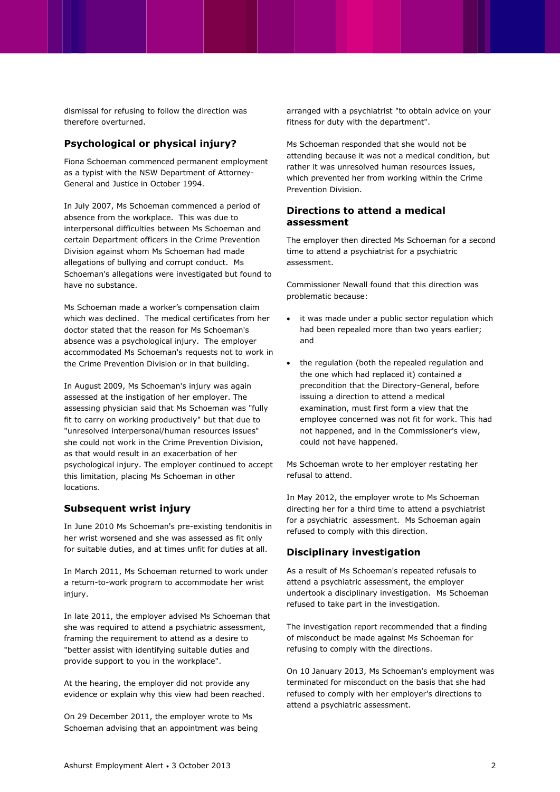dismissal for refusing to follow the direction was therefore overturned.

# **Psychological or physical injury?**

Fiona Schoeman commenced permanent employment as a typist with the NSW Department of Attorney-General and Justice in October 1994.

In July 2007, Ms Schoeman commenced a period of absence from the workplace. This was due to interpersonal difficulties between Ms Schoeman and certain Department officers in the Crime Prevention Division against whom Ms Schoeman had made allegations of bullying and corrupt conduct. Ms Schoeman's allegations were investigated but found to have no substance.

Ms Schoeman made a worker's compensation claim which was declined. The medical certificates from her doctor stated that the reason for Ms Schoeman's absence was a psychological injury. The employer accommodated Ms Schoeman's requests not to work in the Crime Prevention Division or in that building.

In August 2009, Ms Schoeman's injury was again assessed at the instigation of her employer. The assessing physician said that Ms Schoeman was "fully fit to carry on working productively" but that due to "unresolved interpersonal/human resources issues" she could not work in the Crime Prevention Division, as that would result in an exacerbation of her psychological injury. The employer continued to accept this limitation, placing Ms Schoeman in other locations.

## **Subsequent wrist injury**

In June 2010 Ms Schoeman's pre-existing tendonitis in her wrist worsened and she was assessed as fit only for suitable duties, and at times unfit for duties at all.

In March 2011, Ms Schoeman returned to work under a return-to-work program to accommodate her wrist injury.

In late 2011, the employer advised Ms Schoeman that she was required to attend a psychiatric assessment, framing the requirement to attend as a desire to "better assist with identifying suitable duties and provide support to you in the workplace".

At the hearing, the employer did not provide any evidence or explain why this view had been reached.

On 29 December 2011, the employer wrote to Ms Schoeman advising that an appointment was being

arranged with a psychiatrist "to obtain advice on your fitness for duty with the department".

Ms Schoeman responded that she would not be attending because it was not a medical condition, but rather it was unresolved human resources issues, which prevented her from working within the Crime Prevention Division.

#### **Directions to attend a medical assessment**

The employer then directed Ms Schoeman for a second time to attend a psychiatrist for a psychiatric assessment.

Commissioner Newall found that this direction was problematic because:

- it was made under a public sector regulation which had been repealed more than two years earlier; and
- the regulation (both the repealed regulation and the one which had replaced it) contained a precondition that the Directory-General, before issuing a direction to attend a medical examination, must first form a view that the employee concerned was not fit for work. This had not happened, and in the Commissioner's view, could not have happened.

Ms Schoeman wrote to her employer restating her refusal to attend.

In May 2012, the employer wrote to Ms Schoeman directing her for a third time to attend a psychiatrist for a psychiatric assessment. Ms Schoeman again refused to comply with this direction.

#### **Disciplinary investigation**

As a result of Ms Schoeman's repeated refusals to attend a psychiatric assessment, the employer undertook a disciplinary investigation. Ms Schoeman refused to take part in the investigation.

The investigation report recommended that a finding of misconduct be made against Ms Schoeman for refusing to comply with the directions.

On 10 January 2013, Ms Schoeman's employment was terminated for misconduct on the basis that she had refused to comply with her employer's directions to attend a psychiatric assessment.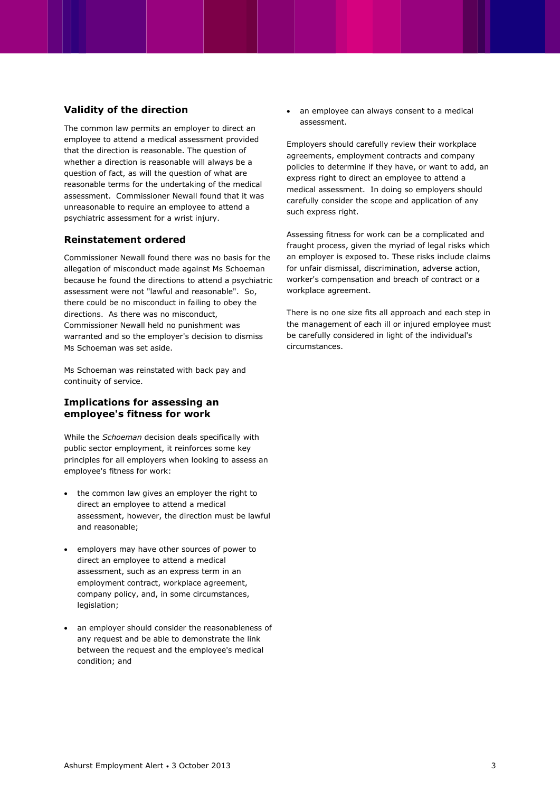## **Validity of the direction**

The common law permits an employer to direct an employee to attend a medical assessment provided that the direction is reasonable. The question of whether a direction is reasonable will always be a question of fact, as will the question of what are reasonable terms for the undertaking of the medical assessment. Commissioner Newall found that it was unreasonable to require an employee to attend a psychiatric assessment for a wrist injury.

#### **Reinstatement ordered**

Commissioner Newall found there was no basis for the allegation of misconduct made against Ms Schoeman because he found the directions to attend a psychiatric assessment were not "lawful and reasonable". So, there could be no misconduct in failing to obey the directions. As there was no misconduct, Commissioner Newall held no punishment was warranted and so the employer's decision to dismiss Ms Schoeman was set aside.

Ms Schoeman was reinstated with back pay and continuity of service.

#### **Implications for assessing an employee's fitness for work**

While the *Schoeman* decision deals specifically with public sector employment, it reinforces some key principles for all employers when looking to assess an employee's fitness for work:

- the common law gives an employer the right to direct an employee to attend a medical assessment, however, the direction must be lawful and reasonable;
- employers may have other sources of power to direct an employee to attend a medical assessment, such as an express term in an employment contract, workplace agreement, company policy, and, in some circumstances, legislation;
- an employer should consider the reasonableness of any request and be able to demonstrate the link between the request and the employee's medical condition; and

 an employee can always consent to a medical assessment.

Employers should carefully review their workplace agreements, employment contracts and company policies to determine if they have, or want to add, an express right to direct an employee to attend a medical assessment. In doing so employers should carefully consider the scope and application of any such express right.

Assessing fitness for work can be a complicated and fraught process, given the myriad of legal risks which an employer is exposed to. These risks include claims for unfair dismissal, discrimination, adverse action, worker's compensation and breach of contract or a workplace agreement.

There is no one size fits all approach and each step in the management of each ill or injured employee must be carefully considered in light of the individual's circumstances.